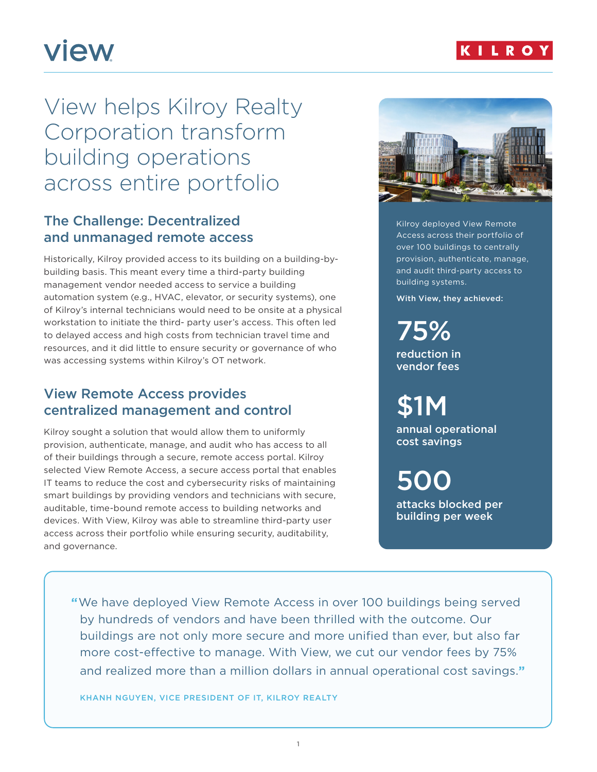

# **view**

## View helps Kilroy Realty Corporation transform building operations across entire portfolio

## The Challenge: Decentralized and unmanaged remote access

Historically, Kilroy provided access to its building on a building-bybuilding basis. This meant every time a third-party building management vendor needed access to service a building automation system (e.g., HVAC, elevator, or security systems), one of Kilroy's internal technicians would need to be onsite at a physical workstation to initiate the third- party user's access. This often led to delayed access and high costs from technician travel time and resources, and it did little to ensure security or governance of who was accessing systems within Kilroy's OT network.

## View Remote Access provides centralized management and control

Kilroy sought a solution that would allow them to uniformly provision, authenticate, manage, and audit who has access to all of their buildings through a secure, remote access portal. Kilroy selected View Remote Access, a secure access portal that enables IT teams to reduce the cost and cybersecurity risks of maintaining smart buildings by providing vendors and technicians with secure, auditable, time-bound remote access to building networks and devices. With View, Kilroy was able to streamline third-party user access across their portfolio while ensuring security, auditability, and governance.



Kilroy deployed View Remote Access across their portfolio of over 100 buildings to centrally provision, authenticate, manage, and audit third-party access to building systems.

With View, they achieved:

75% reduction in vendor fees

\$1M annual operational cost savings

500 attacks blocked per building per week

**"**We have deployed View Remote Access in over 100 buildings being served by hundreds of vendors and have been thrilled with the outcome. Our buildings are not only more secure and more unified than ever, but also far more cost-effective to manage. With View, we cut our vendor fees by 75% and realized more than a million dollars in annual operational cost savings.**"**

KHANH NGUYEN, VICE PRESIDENT OF IT, KILROY REALTY